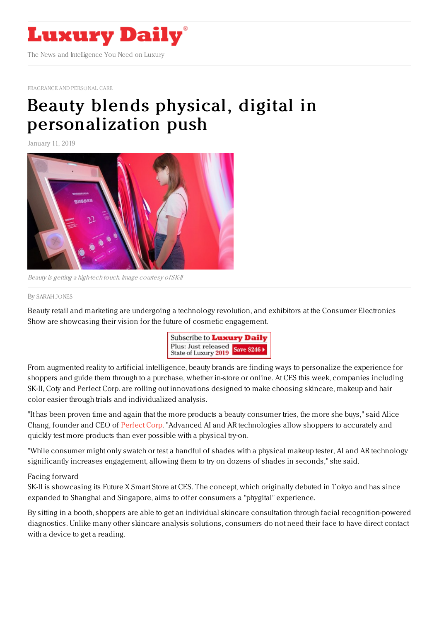

[FRAGRANCE](https://www.luxurydaily.com/category/sectors/fragrance-and-personal-care/) AND PERSONAL CARE

## Beauty blends physical, digital in [personalization](https://www.luxurydaily.com/beauty-blends-physical-digital-in-personalization-push/) push

January 11, 2019



Beauty is getting <sup>a</sup> high-tech touch. Image courtesy of SK-II

## By [SARAH](file:///author/sarah-jones) JONES

Beauty retail and marketing are undergoing a technology revolution, and exhibitors at the Consumer Electronics Show are showcasing their vision for the future of cosmetic engagement.



From augmented reality to artificial intelligence, beauty brands are finding ways to personalize the experience for shoppers and guide them through to a purchase, whether in-store or online. At CES this week, companies including SK-II, Coty and Perfect Corp. are rolling out innovations designed to make choosing skincare, makeup and hair color easier through trials and individualized analysis.

"It has been proven time and again that the more products a beauty consumer tries, the more she buys," said Alice Chang, founder and CEO of [Perfect](https://www.perfectcorp.com/) Corp. "Advanced AI and AR technologies allow shoppers to accurately and quickly test more products than ever possible with a physical try-on.

"While consumer might only swatch or test a handful of shades with a physical makeup tester, AI and AR technology significantly increases engagement, allowing them to try on dozens of shades in seconds," she said.

## Facing forward

SK-II is showcasing its Future X Smart Store at CES. The concept, which originally debuted in Tokyo and has since expanded to Shanghai and Singapore, aims to offer consumers a "phygital" experience.

By sitting in a booth, shoppers are able to get an individual skincare consultation through facial recognition-powered diagnostics. Unlike many other skincare analysis solutions, consumers do not need their face to have direct contact with a device to get a reading.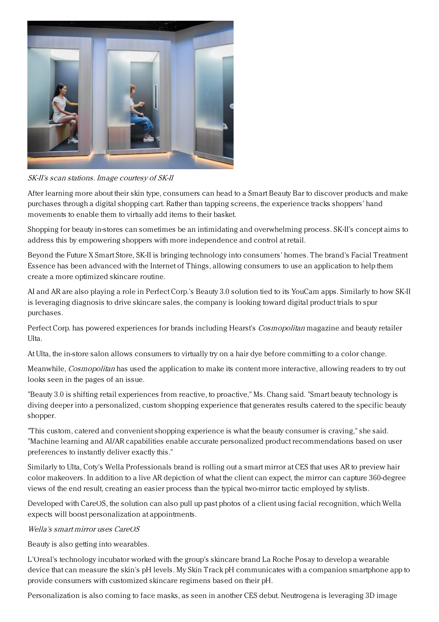

SK-II's scan stations. Image courtesy of SK-II

After learning more about their skin type, consumers can head to a Smart Beauty Bar to discover products and make purchases through a digital shopping cart. Rather than tapping screens, the experience tracks shoppers' hand movements to enable them to virtually add items to their basket.

Shopping for beauty in-stores can sometimes be an intimidating and overwhelming process. SK-II's concept aims to address this by empowering shoppers with more independence and control at retail.

Beyond the Future X Smart Store, SK-II is bringing technology into consumers' homes. The brand's Facial Treatment Essence has been advanced with the Internet of Things, allowing consumers to use an application to help them create a more optimized skincare routine.

AI and AR are also playing a role in Perfect Corp.'s Beauty 3.0 solution tied to its YouCam apps. Similarly to how SK-II is leveraging diagnosis to drive skincare sales, the company is looking toward digital product trials to spur purchases.

Perfect Corp. has powered experiences for brands including Hearst's *Cosmopolitan* magazine and beauty retailer Ulta.

At Ulta, the in-store salon allows consumers to virtually try on a hair dye before committing to a color change.

Meanwhile, *Cosmopolitan* has used the application to make its content more interactive, allowing readers to try out looks seen in the pages of an issue.

"Beauty 3.0 is shifting retail experiences from reactive, to proactive," Ms. Chang said. "Smart beauty technology is diving deeper into a personalized, custom shopping experience that generates results catered to the specific beauty shopper.

"This custom, catered and convenient shopping experience is what the beauty consumer is craving," she said. "Machine learning and AI/AR capabilities enable accurate personalized product recommendations based on user preferences to instantly deliver exactly this."

Similarly to Ulta, Coty's Wella Professionals brand is rolling out a smart mirror at CES that uses AR to preview hair color makeovers. In addition to a live AR depiction of what the client can expect, the mirror can capture 360-degree views of the end result, creating an easier process than the typical two-mirror tactic employed by stylists.

Developed with CareOS, the solution can also pull up past photos of a client using facial recognition, which Wella expects will boost personalization at appointments.

Wella's smart mirror uses CareOS

Beauty is also getting into wearables.

L'Oreal's technology incubator worked with the group's skincare brand La Roche Posay to develop a wearable device that can measure the skin's pH levels. My Skin Track pH communicates with a companion smartphone app to provide consumers with customized skincare regimens based on their pH.

Personalization is also coming to face masks, as seen in another CES debut. Neutrogena is leveraging 3D image